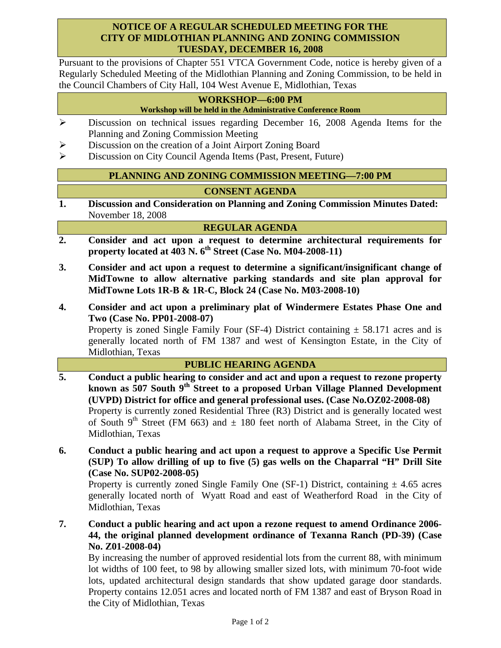## **NOTICE OF A REGULAR SCHEDULED MEETING FOR THE CITY OF MIDLOTHIAN PLANNING AND ZONING COMMISSION TUESDAY, DECEMBER 16, 2008**

Pursuant to the provisions of Chapter 551 VTCA Government Code, notice is hereby given of a Regularly Scheduled Meeting of the Midlothian Planning and Zoning Commission, to be held in the Council Chambers of City Hall, 104 West Avenue E, Midlothian, Texas

#### **WORKSHOP—6:00 PM Workshop will be held in the Administrative Conference Room**

- ¾ Discussion on technical issues regarding December 16, 2008 Agenda Items for the Planning and Zoning Commission Meeting
- ¾ Discussion on the creation of a Joint Airport Zoning Board
- ¾ Discussion on City Council Agenda Items (Past, Present, Future)

## **PLANNING AND ZONING COMMISSION MEETING—7:00 PM**

# **CONSENT AGENDA**

**1. Discussion and Consideration on Planning and Zoning Commission Minutes Dated:**  November 18, 2008

### **REGULAR AGENDA**

- **2. Consider and act upon a request to determine architectural requirements for property located at 403 N. 6th Street (Case No. M04-2008-11)**
- **3. Consider and act upon a request to determine a significant/insignificant change of MidTowne to allow alternative parking standards and site plan approval for MidTowne Lots 1R-B & 1R-C, Block 24 (Case No. M03-2008-10)**
- **4. Consider and act upon a preliminary plat of Windermere Estates Phase One and Two (Case No. PP01-2008-07)**

Property is zoned Single Family Four (SF-4) District containing  $\pm$  58.171 acres and is generally located north of FM 1387 and west of Kensington Estate, in the City of Midlothian, Texas

### **PUBLIC HEARING AGENDA**

- **5. Conduct a public hearing to consider and act and upon a request to rezone property known as 507 South 9th Street to a proposed Urban Village Planned Development (UVPD) District for office and general professional uses. (Case No.OZ02-2008-08)**  Property is currently zoned Residential Three (R3) District and is generally located west of South 9<sup>th</sup> Street (FM 663) and  $\pm$  180 feet north of Alabama Street, in the City of Midlothian, Texas
- **6. Conduct a public hearing and act upon a request to approve a Specific Use Permit (SUP) To allow drilling of up to five (5) gas wells on the Chaparral "H" Drill Site (Case No. SUP02-2008-05)**

Property is currently zoned Single Family One (SF-1) District, containing  $\pm$  4.65 acres generally located north of Wyatt Road and east of Weatherford Road in the City of Midlothian, Texas

**7. Conduct a public hearing and act upon a rezone request to amend Ordinance 2006- 44, the original planned development ordinance of Texanna Ranch (PD-39) (Case No. Z01-2008-04)** 

By increasing the number of approved residential lots from the current 88, with minimum lot widths of 100 feet, to 98 by allowing smaller sized lots, with minimum 70-foot wide lots, updated architectural design standards that show updated garage door standards. Property contains 12.051 acres and located north of FM 1387 and east of Bryson Road in the City of Midlothian, Texas